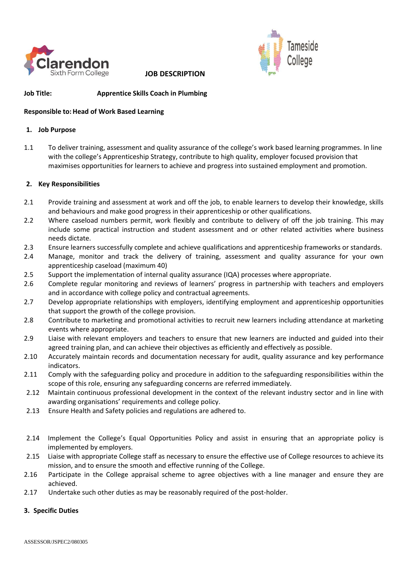

**JOB DESCRIPTION** 



# **Job Title: Apprentice Skills Coach in Plumbing**

## **Responsible to:Head of Work Based Learning**

#### **1. Job Purpose**

1.1 To deliver training, assessment and quality assurance of the college's work based learning programmes. In line with the college's Apprenticeship Strategy, contribute to high quality, employer focused provision that maximises opportunities for learners to achieve and progress into sustained employment and promotion.

## **2. Key Responsibilities**

- 2.1 Provide training and assessment at work and off the job, to enable learners to develop their knowledge, skills and behaviours and make good progress in their apprenticeship or other qualifications.
- 2.2 Where caseload numbers permit, work flexibly and contribute to delivery of off the job training. This may include some practical instruction and student assessment and or other related activities where business needs dictate.
- 2.3 Ensure learners successfully complete and achieve qualifications and apprenticeship frameworks or standards.
- 2.4 Manage, monitor and track the delivery of training, assessment and quality assurance for your own apprenticeship caseload (maximum 40)
- 2.5 Support the implementation of internal quality assurance (IQA) processes where appropriate.
- 2.6 Complete regular monitoring and reviews of learners' progress in partnership with teachers and employers and in accordance with college policy and contractual agreements.
- 2.7 Develop appropriate relationships with employers, identifying employment and apprenticeship opportunities that support the growth of the college provision.
- 2.8 Contribute to marketing and promotional activities to recruit new learners including attendance at marketing events where appropriate.
- 2.9 Liaise with relevant employers and teachers to ensure that new learners are inducted and guided into their agreed training plan, and can achieve their objectives as efficiently and effectively as possible.
- 2.10 Accurately maintain records and documentation necessary for audit, quality assurance and key performance indicators.
- 2.11 Comply with the safeguarding policy and procedure in addition to the safeguarding responsibilities within the scope of this role, ensuring any safeguarding concerns are referred immediately.
- 2.12 Maintain continuous professional development in the context of the relevant industry sector and in line with awarding organisations' requirements and college policy.
- 2.13 Ensure Health and Safety policies and regulations are adhered to.
- 2.14 Implement the College's Equal Opportunities Policy and assist in ensuring that an appropriate policy is implemented by employers.
- 2.15 Liaise with appropriate College staff as necessary to ensure the effective use of College resources to achieve its mission, and to ensure the smooth and effective running of the College.
- 2.16 Participate in the College appraisal scheme to agree objectives with a line manager and ensure they are achieved.
- 2.17 Undertake such other duties as may be reasonably required of the post-holder.

## **3. Specific Duties**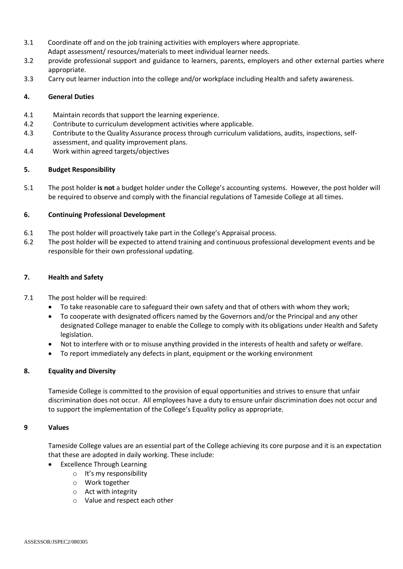- 3.1 Coordinate off and on the job training activities with employers where appropriate. Adapt assessment/ resources/materials to meet individual learner needs.
- 3.2 provide professional support and guidance to learners, parents, employers and other external parties where appropriate.
- 3.3 Carry out learner induction into the college and/or workplace including Health and safety awareness.

## **4. General Duties**

- 4.1 Maintain records that support the learning experience.
- 4.2 Contribute to curriculum development activities where applicable.
- 4.3 Contribute to the Quality Assurance process through curriculum validations, audits, inspections, selfassessment, and quality improvement plans.
- 4.4 Work within agreed targets/objectives

## **5. Budget Responsibility**

5.1 The post holder **is not** a budget holder under the College's accounting systems. However, the post holder will be required to observe and comply with the financial regulations of Tameside College at all times.

## **6. Continuing Professional Development**

- 6.1 The post holder will proactively take part in the College's Appraisal process.
- 6.2 The post holder will be expected to attend training and continuous professional development events and be responsible for their own professional updating.

## **7. Health and Safety**

- 7.1 The post holder will be required:
	- To take reasonable care to safeguard their own safety and that of others with whom they work;
	- To cooperate with designated officers named by the Governors and/or the Principal and any other designated College manager to enable the College to comply with its obligations under Health and Safety legislation.
	- Not to interfere with or to misuse anything provided in the interests of health and safety or welfare.
	- To report immediately any defects in plant, equipment or the working environment

## **8. Equality and Diversity**

Tameside College is committed to the provision of equal opportunities and strives to ensure that unfair discrimination does not occur. All employees have a duty to ensure unfair discrimination does not occur and to support the implementation of the College's Equality policy as appropriate.

## **9 Values**

Tameside College values are an essential part of the College achieving its core purpose and it is an expectation that these are adopted in daily working. These include:

- **Excellence Through Learning** 
	- o It's my responsibility
	- o Work together
	- o Act with integrity
	- o Value and respect each other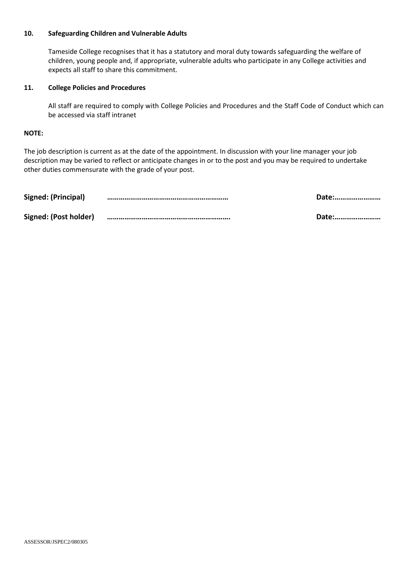# **10. Safeguarding Children and Vulnerable Adults**

Tameside College recognises that it has a statutory and moral duty towards safeguarding the welfare of children, young people and, if appropriate, vulnerable adults who participate in any College activities and expects all staff to share this commitment.

## **11. College Policies and Procedures**

All staff are required to comply with College Policies and Procedures and the Staff Code of Conduct which can be accessed via staff intranet

#### **NOTE:**

The job description is current as at the date of the appointment. In discussion with your line manager your job description may be varied to reflect or anticipate changes in or to the post and you may be required to undertake other duties commensurate with the grade of your post.

| Signed: (Principal)   | Date: |
|-----------------------|-------|
| Signed: (Post holder) | Date: |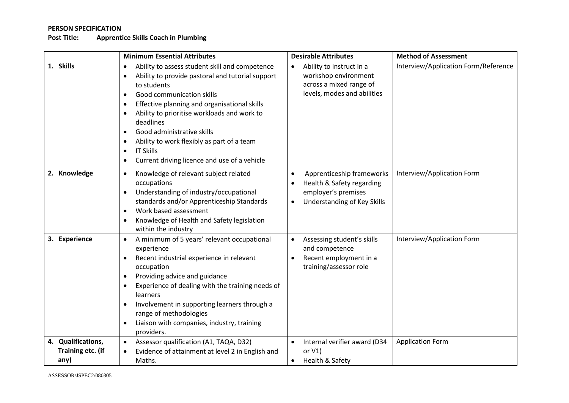# **PERSON SPECIFICATION**

# **Apprentice Skills Coach in Plumbing**

|                                                 | <b>Minimum Essential Attributes</b>                                                                                                                                                                                                                                                                                                                                                                                                                                                                                | <b>Desirable Attributes</b>                                                                                                            | <b>Method of Assessment</b>          |
|-------------------------------------------------|--------------------------------------------------------------------------------------------------------------------------------------------------------------------------------------------------------------------------------------------------------------------------------------------------------------------------------------------------------------------------------------------------------------------------------------------------------------------------------------------------------------------|----------------------------------------------------------------------------------------------------------------------------------------|--------------------------------------|
| 1. Skills                                       | Ability to assess student skill and competence<br>$\bullet$<br>Ability to provide pastoral and tutorial support<br>$\bullet$<br>to students<br>Good communication skills<br>$\bullet$<br>Effective planning and organisational skills<br>$\bullet$<br>Ability to prioritise workloads and work to<br>deadlines<br>Good administrative skills<br>$\bullet$<br>Ability to work flexibly as part of a team<br>$\bullet$<br><b>IT Skills</b><br>$\bullet$<br>Current driving licence and use of a vehicle<br>$\bullet$ | Ability to instruct in a<br>workshop environment<br>across a mixed range of<br>levels, modes and abilities                             | Interview/Application Form/Reference |
| 2. Knowledge                                    | Knowledge of relevant subject related<br>$\bullet$<br>occupations<br>Understanding of industry/occupational<br>$\bullet$<br>standards and/or Apprenticeship Standards<br>Work based assessment<br>$\bullet$<br>Knowledge of Health and Safety legislation<br>within the industry                                                                                                                                                                                                                                   | Apprenticeship frameworks<br>$\bullet$<br>Health & Safety regarding<br>$\bullet$<br>employer's premises<br>Understanding of Key Skills | Interview/Application Form           |
| 3. Experience                                   | A minimum of 5 years' relevant occupational<br>$\bullet$<br>experience<br>Recent industrial experience in relevant<br>$\bullet$<br>occupation<br>Providing advice and guidance<br>$\bullet$<br>Experience of dealing with the training needs of<br>learners<br>Involvement in supporting learners through a<br>range of methodologies<br>Liaison with companies, industry, training<br>$\bullet$<br>providers.                                                                                                     | Assessing student's skills<br>and competence<br>Recent employment in a<br>training/assessor role                                       | Interview/Application Form           |
| 4. Qualifications,<br>Training etc. (if<br>any) | Assessor qualification (A1, TAQA, D32)<br>$\bullet$<br>Evidence of attainment at level 2 in English and<br>Maths.                                                                                                                                                                                                                                                                                                                                                                                                  | Internal verifier award (D34<br>or $V1$ )<br>Health & Safety                                                                           | <b>Application Form</b>              |